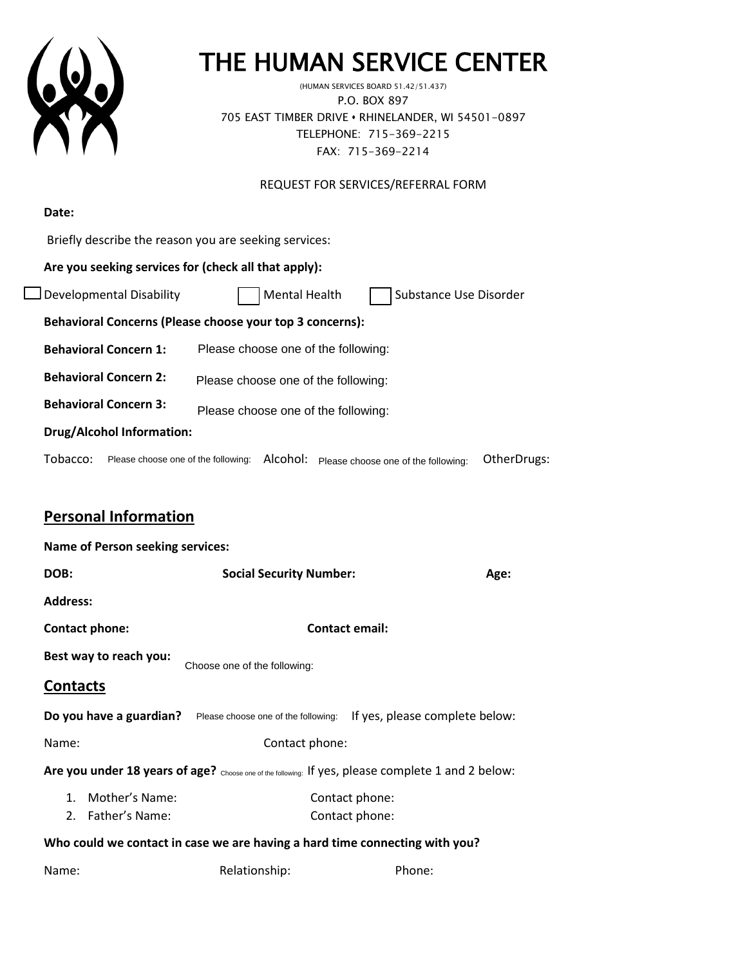

# THE HUMAN SERVICE CENTER (HUMAN SERVICES BOARD 51.42/51.437)

P.O. BOX 897 705 EAST TIMBER DRIVE **•** RHINELANDER, WI 54501-0897 TELEPHONE: 715-369-2215 FAX: 715-369-2214

REQUEST FOR SERVICES/REFERRAL FORM

| Date:                                                               |                                                                |  |  |  |  |
|---------------------------------------------------------------------|----------------------------------------------------------------|--|--|--|--|
| Briefly describe the reason you are seeking services:               |                                                                |  |  |  |  |
| Are you seeking services for (check all that apply):                |                                                                |  |  |  |  |
| Developmental Disability                                            | <b>Mental Health</b><br>Substance Use Disorder                 |  |  |  |  |
| Behavioral Concerns (Please choose your top 3 concerns):            |                                                                |  |  |  |  |
| <b>Behavioral Concern 1:</b><br>Please choose one of the following: |                                                                |  |  |  |  |
| <b>Behavioral Concern 2:</b><br>Please choose one of the following: |                                                                |  |  |  |  |
| <b>Behavioral Concern 3:</b><br>Please choose one of the following: |                                                                |  |  |  |  |
| <b>Drug/Alcohol Information:</b>                                    |                                                                |  |  |  |  |
| Tobacco:<br>Please choose one of the following:                     | Alcohol:<br>OtherDrugs:<br>Please choose one of the following: |  |  |  |  |

## **Personal Information**

|                                                                                                    |                                                                    |                              |                                |  | Tobacco: Please choose one of the following: AIcohol: Please choose one of the following: | OtherD |  |
|----------------------------------------------------------------------------------------------------|--------------------------------------------------------------------|------------------------------|--------------------------------|--|-------------------------------------------------------------------------------------------|--------|--|
|                                                                                                    | <b>Personal Information</b>                                        |                              |                                |  |                                                                                           |        |  |
| <b>Name of Person seeking services:</b>                                                            |                                                                    |                              |                                |  |                                                                                           |        |  |
| DOB:                                                                                               |                                                                    |                              | <b>Social Security Number:</b> |  | Age:                                                                                      |        |  |
| <b>Address:</b>                                                                                    |                                                                    |                              |                                |  |                                                                                           |        |  |
| Contact phone:                                                                                     |                                                                    |                              |                                |  | <b>Contact email:</b>                                                                     |        |  |
|                                                                                                    | Best way to reach you:                                             | Choose one of the following: |                                |  |                                                                                           |        |  |
| <b>Contacts</b>                                                                                    |                                                                    |                              |                                |  |                                                                                           |        |  |
|                                                                                                    | <b>Do you have a guardian?</b> Please choose one of the following: |                              |                                |  | If yes, please complete below:                                                            |        |  |
| Name:                                                                                              |                                                                    |                              | Contact phone:                 |  |                                                                                           |        |  |
| Are you under 18 years of age? Choose one of the following: If yes, please complete 1 and 2 below: |                                                                    |                              |                                |  |                                                                                           |        |  |
|                                                                                                    | 1. Mother's Name:<br>2. Father's Name:                             |                              |                                |  | Contact phone:<br>Contact phone:                                                          |        |  |
| Who could we contact in case we are having a hard time connecting with you?                        |                                                                    |                              |                                |  |                                                                                           |        |  |
| Name:                                                                                              |                                                                    | Relationship:                |                                |  | Phone:                                                                                    |        |  |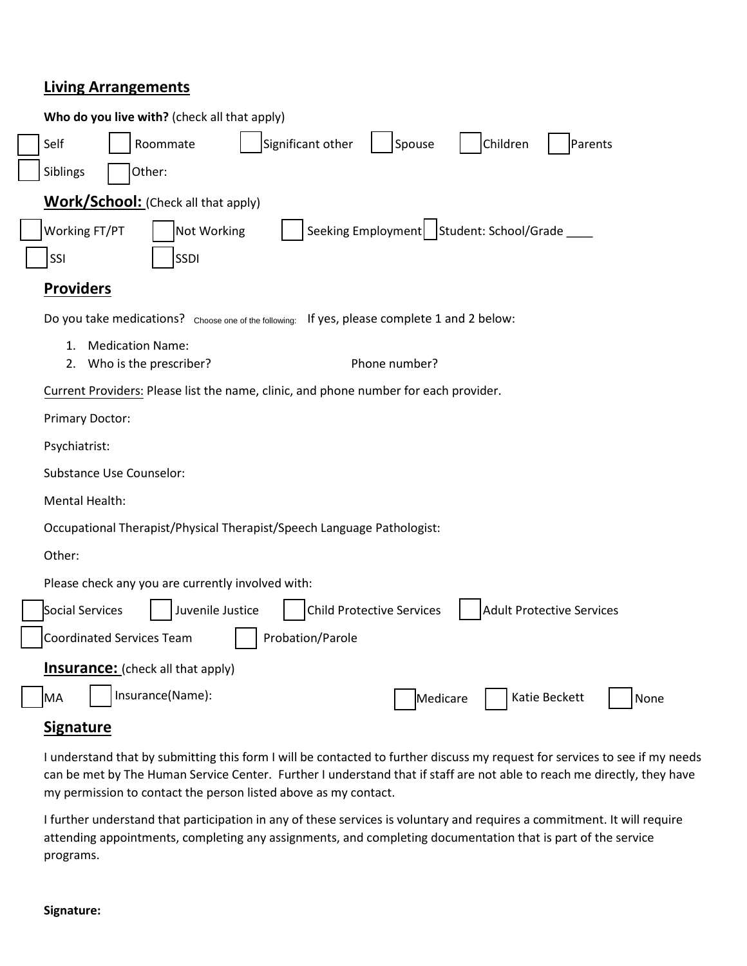#### **Living Arrangements**

| Who do you live with? (check all that apply)                                                                |  |  |  |  |  |  |
|-------------------------------------------------------------------------------------------------------------|--|--|--|--|--|--|
| Significant other<br>Spouse<br>Children<br>Self<br>Roommate<br>Parents                                      |  |  |  |  |  |  |
| Siblings<br>Other:                                                                                          |  |  |  |  |  |  |
| <b>Work/School:</b> (Check all that apply)                                                                  |  |  |  |  |  |  |
| Seeking Employment   Student: School/Grade<br>Working FT/PT<br>Not Working                                  |  |  |  |  |  |  |
| <b>SSDI</b><br>SSI                                                                                          |  |  |  |  |  |  |
| <b>Providers</b>                                                                                            |  |  |  |  |  |  |
| Do you take medications? Choose one of the following: If yes, please complete 1 and 2 below:                |  |  |  |  |  |  |
| 1.<br><b>Medication Name:</b><br>Phone number?<br>Who is the prescriber?<br>2.                              |  |  |  |  |  |  |
| Current Providers: Please list the name, clinic, and phone number for each provider.                        |  |  |  |  |  |  |
| <b>Primary Doctor:</b>                                                                                      |  |  |  |  |  |  |
| Psychiatrist:                                                                                               |  |  |  |  |  |  |
| <b>Substance Use Counselor:</b>                                                                             |  |  |  |  |  |  |
| Mental Health:                                                                                              |  |  |  |  |  |  |
| Occupational Therapist/Physical Therapist/Speech Language Pathologist:                                      |  |  |  |  |  |  |
| Other:                                                                                                      |  |  |  |  |  |  |
| Please check any you are currently involved with:                                                           |  |  |  |  |  |  |
| Social Services<br>Juvenile Justice<br><b>Child Protective Services</b><br><b>Adult Protective Services</b> |  |  |  |  |  |  |
| Probation/Parole<br><b>Coordinated Services Team</b>                                                        |  |  |  |  |  |  |
| <b>Insurance:</b> (check all that apply)                                                                    |  |  |  |  |  |  |
| Insurance(Name):<br>MA<br>Katie Beckett<br>Medicare<br>None                                                 |  |  |  |  |  |  |
|                                                                                                             |  |  |  |  |  |  |

### **Signature**

I understand that by submitting this form I will be contacted to further discuss my request for services to see if my needs can be met by The Human Service Center. Further I understand that if staff are not able to reach me directly, they have my permission to contact the person listed above as my contact.

I further understand that participation in any of these services is voluntary and requires a commitment. It will require attending appointments, completing any assignments, and completing documentation that is part of the service programs.

#### **Signature:**